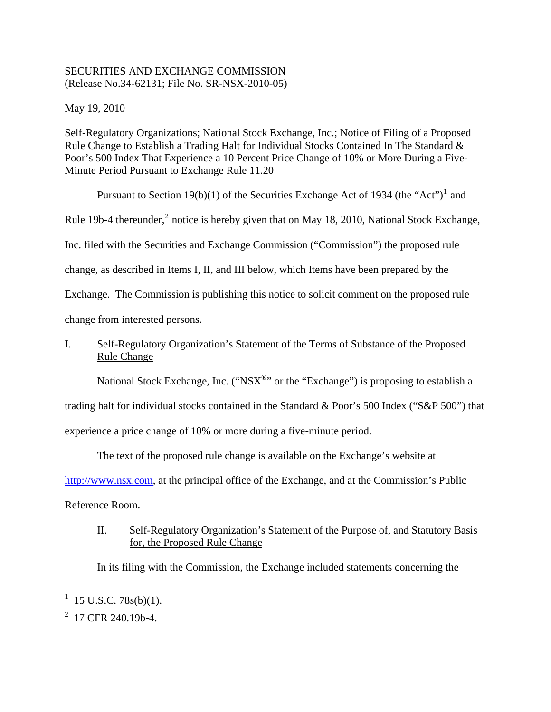## SECURITIES AND EXCHANGE COMMISSION (Release No.34-62131; File No. SR-NSX-2010-05)

May 19, 2010

Self-Regulatory Organizations; National Stock Exchange, Inc.; Notice of Filing of a Proposed Rule Change to Establish a Trading Halt for Individual Stocks Contained In The Standard & Poor's 500 Index That Experience a 10 Percent Price Change of 10% or More During a Five-Minute Period Pursuant to Exchange Rule 11.20

Pursuant to Section [1](#page-0-0)9(b)(1) of the Securities Exchange Act of 1934 (the "Act")<sup>1</sup> and Rule 19b-4 thereunder,<sup>[2](#page-0-1)</sup> notice is hereby given that on May 18, 2010, National Stock Exchange, Inc. filed with the Securities and Exchange Commission ("Commission") the proposed rule change, as described in Items I, II, and III below, which Items have been prepared by the Exchange. The Commission is publishing this notice to solicit comment on the proposed rule change from interested persons.

# I. Self-Regulatory Organization's Statement of the Terms of Substance of the Proposed Rule Change

National Stock Exchange, Inc. (" $NSX^{\circledast}$ " or the "Exchange") is proposing to establish a trading halt for individual stocks contained in the Standard & Poor's 500 Index ("S&P 500") that experience a price change of 10% or more during a five-minute period.

The text of the proposed rule change is available on the Exchange's website at

http://www.nsx.com, at the principal office of the Exchange, and at the Commission's Public

Reference Room.

# II. Self-Regulatory Organization's Statement of the Purpose of, and Statutory Basis for, the Proposed Rule Change

In its filing with the Commission, the Exchange included statements concerning the

 $\overline{a}$ 

<span id="page-0-0"></span><sup>1</sup> 15 U.S.C. 78s(b)(1).

<span id="page-0-1"></span> $2^2$  17 CFR 240.19b-4.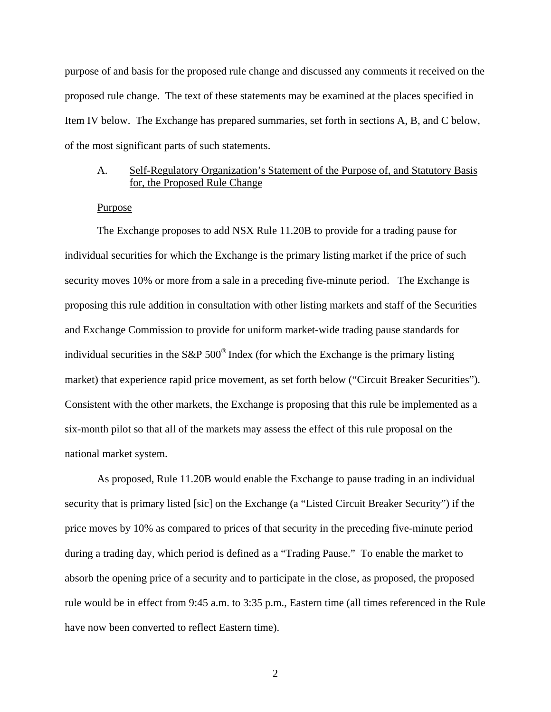purpose of and basis for the proposed rule change and discussed any comments it received on the proposed rule change. The text of these statements may be examined at the places specified in Item IV below. The Exchange has prepared summaries, set forth in sections A, B, and C below, of the most significant parts of such statements.

### A. Self-Regulatory Organization's Statement of the Purpose of, and Statutory Basis for, the Proposed Rule Change

### Purpose

 The Exchange proposes to add NSX Rule 11.20B to provide for a trading pause for individual securities for which the Exchange is the primary listing market if the price of such security moves 10% or more from a sale in a preceding five-minute period. The Exchange is proposing this rule addition in consultation with other listing markets and staff of the Securities and Exchange Commission to provide for uniform market-wide trading pause standards for individual securities in the S&P  $500^{\circ}$  Index (for which the Exchange is the primary listing market) that experience rapid price movement, as set forth below ("Circuit Breaker Securities"). Consistent with the other markets, the Exchange is proposing that this rule be implemented as a six-month pilot so that all of the markets may assess the effect of this rule proposal on the national market system.

 As proposed, Rule 11.20B would enable the Exchange to pause trading in an individual security that is primary listed [sic] on the Exchange (a "Listed Circuit Breaker Security") if the price moves by 10% as compared to prices of that security in the preceding five-minute period during a trading day, which period is defined as a "Trading Pause." To enable the market to absorb the opening price of a security and to participate in the close, as proposed, the proposed rule would be in effect from 9:45 a.m. to 3:35 p.m., Eastern time (all times referenced in the Rule have now been converted to reflect Eastern time).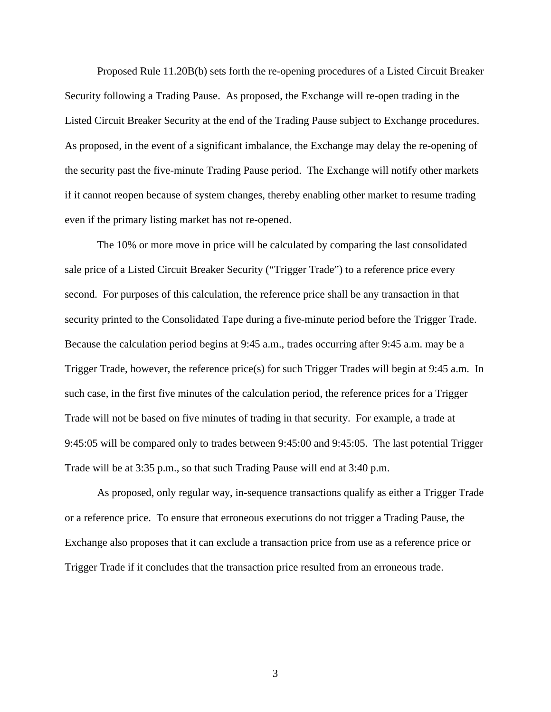Proposed Rule 11.20B(b) sets forth the re-opening procedures of a Listed Circuit Breaker Security following a Trading Pause. As proposed, the Exchange will re-open trading in the Listed Circuit Breaker Security at the end of the Trading Pause subject to Exchange procedures. As proposed, in the event of a significant imbalance, the Exchange may delay the re-opening of the security past the five-minute Trading Pause period. The Exchange will notify other markets if it cannot reopen because of system changes, thereby enabling other market to resume trading even if the primary listing market has not re-opened.

 The 10% or more move in price will be calculated by comparing the last consolidated sale price of a Listed Circuit Breaker Security ("Trigger Trade") to a reference price every second. For purposes of this calculation, the reference price shall be any transaction in that security printed to the Consolidated Tape during a five-minute period before the Trigger Trade. Because the calculation period begins at 9:45 a.m., trades occurring after 9:45 a.m. may be a Trigger Trade, however, the reference price(s) for such Trigger Trades will begin at 9:45 a.m. In such case, in the first five minutes of the calculation period, the reference prices for a Trigger Trade will not be based on five minutes of trading in that security. For example, a trade at 9:45:05 will be compared only to trades between 9:45:00 and 9:45:05. The last potential Trigger Trade will be at 3:35 p.m., so that such Trading Pause will end at 3:40 p.m.

 As proposed, only regular way, in-sequence transactions qualify as either a Trigger Trade or a reference price. To ensure that erroneous executions do not trigger a Trading Pause, the Exchange also proposes that it can exclude a transaction price from use as a reference price or Trigger Trade if it concludes that the transaction price resulted from an erroneous trade.

3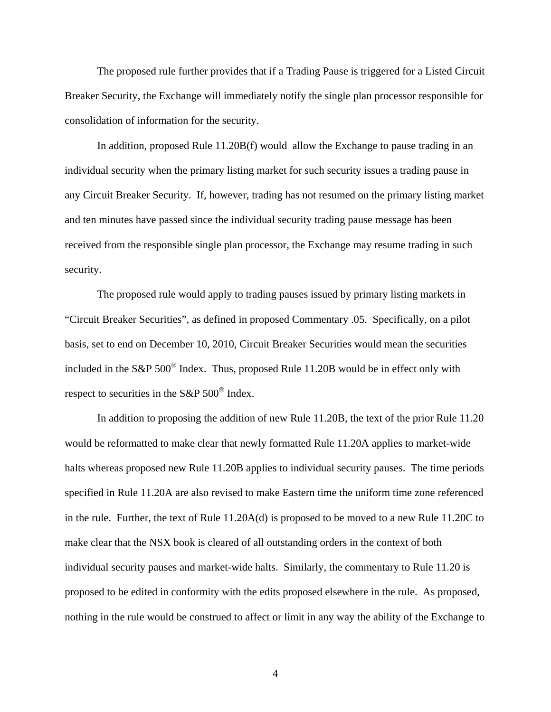The proposed rule further provides that if a Trading Pause is triggered for a Listed Circuit Breaker Security, the Exchange will immediately notify the single plan processor responsible for consolidation of information for the security.

 In addition, proposed Rule 11.20B(f) would allow the Exchange to pause trading in an individual security when the primary listing market for such security issues a trading pause in any Circuit Breaker Security. If, however, trading has not resumed on the primary listing market and ten minutes have passed since the individual security trading pause message has been received from the responsible single plan processor, the Exchange may resume trading in such security.

 The proposed rule would apply to trading pauses issued by primary listing markets in "Circuit Breaker Securities", as defined in proposed Commentary .05. Specifically, on a pilot basis, set to end on December 10, 2010, Circuit Breaker Securities would mean the securities included in the S&P 500® Index. Thus, proposed Rule 11.20B would be in effect only with respect to securities in the S&P  $500^{\circ}$  Index.

 In addition to proposing the addition of new Rule 11.20B, the text of the prior Rule 11.20 would be reformatted to make clear that newly formatted Rule 11.20A applies to market-wide halts whereas proposed new Rule 11.20B applies to individual security pauses. The time periods specified in Rule 11.20A are also revised to make Eastern time the uniform time zone referenced in the rule. Further, the text of Rule 11.20A(d) is proposed to be moved to a new Rule 11.20C to make clear that the NSX book is cleared of all outstanding orders in the context of both individual security pauses and market-wide halts. Similarly, the commentary to Rule 11.20 is proposed to be edited in conformity with the edits proposed elsewhere in the rule. As proposed, nothing in the rule would be construed to affect or limit in any way the ability of the Exchange to

4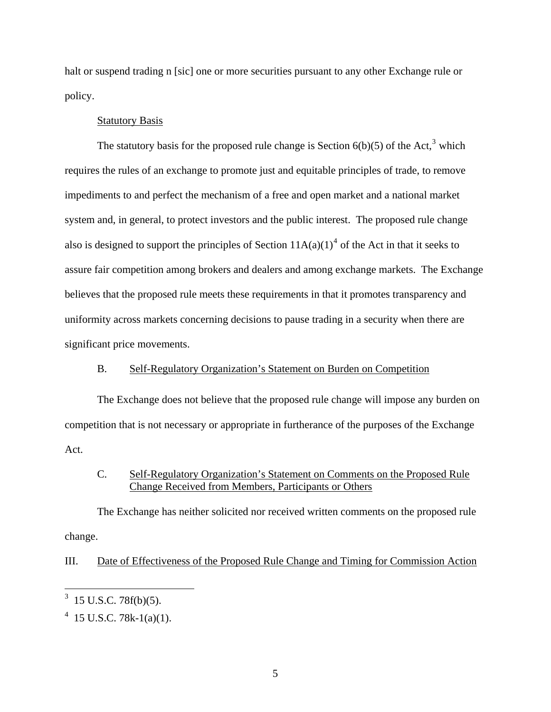halt or suspend trading n [sic] one or more securities pursuant to any other Exchange rule or policy.

### Statutory Basis

The statutory basis for the proposed rule change is Section  $6(b)(5)$  of the Act,<sup>[3](#page-4-0)</sup> which requires the rules of an exchange to promote just and equitable principles of trade, to remove impediments to and perfect the mechanism of a free and open market and a national market system and, in general, to protect investors and the public interest. The proposed rule change also is designed to support the principles of Section  $11A(a)(1)^4$  $11A(a)(1)^4$  of the Act in that it seeks to assure fair competition among brokers and dealers and among exchange markets. The Exchange believes that the proposed rule meets these requirements in that it promotes transparency and uniformity across markets concerning decisions to pause trading in a security when there are significant price movements.

# B. Self-Regulatory Organization's Statement on Burden on Competition

The Exchange does not believe that the proposed rule change will impose any burden on competition that is not necessary or appropriate in furtherance of the purposes of the Exchange Act.

## C. Self-Regulatory Organization's Statement on Comments on the Proposed Rule Change Received from Members, Participants or Others

The Exchange has neither solicited nor received written comments on the proposed rule change.

## III. Date of Effectiveness of the Proposed Rule Change and Timing for Commission Action

1

<span id="page-4-0"></span><sup>3</sup> 15 U.S.C. 78f(b)(5).

<span id="page-4-1"></span> $4$  15 U.S.C. 78k-1(a)(1).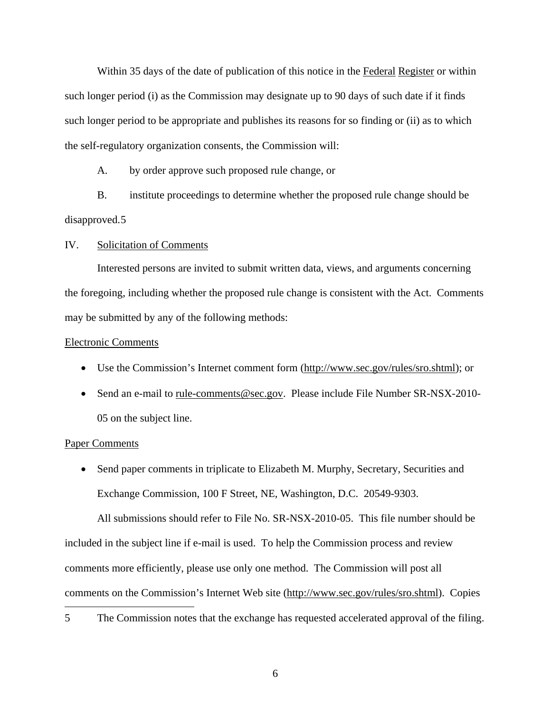Within 35 days of the date of publication of this notice in the Federal Register or within such longer period (i) as the Commission may designate up to 90 days of such date if it finds such longer period to be appropriate and publishes its reasons for so finding or (ii) as to which the self-regulatory organization consents, the Commission will:

A. by order approve such proposed rule change, or

B. institute proceedings to determine whether the proposed rule change should be disapproved.[5](#page-5-0) 

### IV. Solicitation of Comments

 Interested persons are invited to submit written data, views, and arguments concerning the foregoing, including whether the proposed rule change is consistent with the Act. Comments may be submitted by any of the following methods:

### Electronic Comments

- Use the Commission's Internet comment form (http://www.sec.gov/rules/sro.shtml); or
- Send an e-mail to rule-comments@sec.gov. Please include File Number SR-NSX-2010-05 on the subject line.

#### Paper Comments

• Send paper comments in triplicate to Elizabeth M. Murphy, Secretary, Securities and Exchange Commission, 100 F Street, NE, Washington, D.C. 20549-9303.

 All submissions should refer to File No. SR-NSX-2010-05. This file number should be included in the subject line if e-mail is used. To help the Commission process and review comments more efficiently, please use only one method. The Commission will post all comments on the Commission's Internet Web site (http://www.sec.gov/rules/sro.shtml). Copies  $\overline{a}$ 

<span id="page-5-0"></span>5 The Commission notes that the exchange has requested accelerated approval of the filing.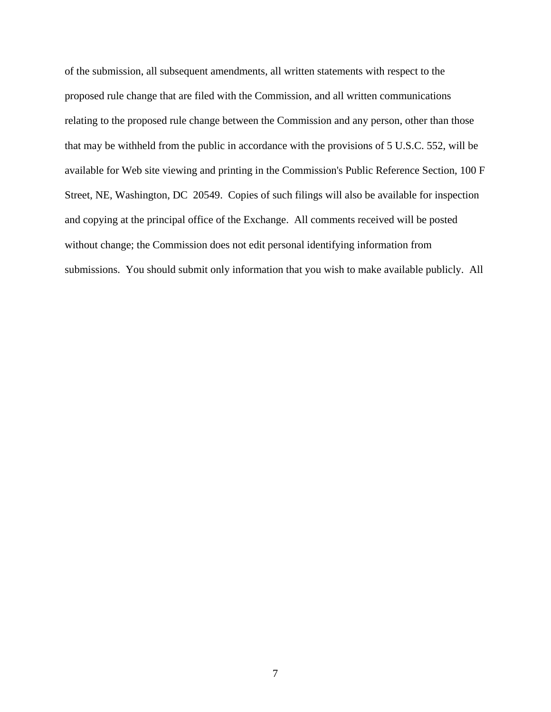of the submission, all subsequent amendments, all written statements with respect to the proposed rule change that are filed with the Commission, and all written communications relating to the proposed rule change between the Commission and any person, other than those that may be withheld from the public in accordance with the provisions of 5 U.S.C. 552, will be available for Web site viewing and printing in the Commission's Public Reference Section, 100 F Street, NE, Washington, DC 20549. Copies of such filings will also be available for inspection and copying at the principal office of the Exchange. All comments received will be posted without change; the Commission does not edit personal identifying information from submissions. You should submit only information that you wish to make available publicly. All